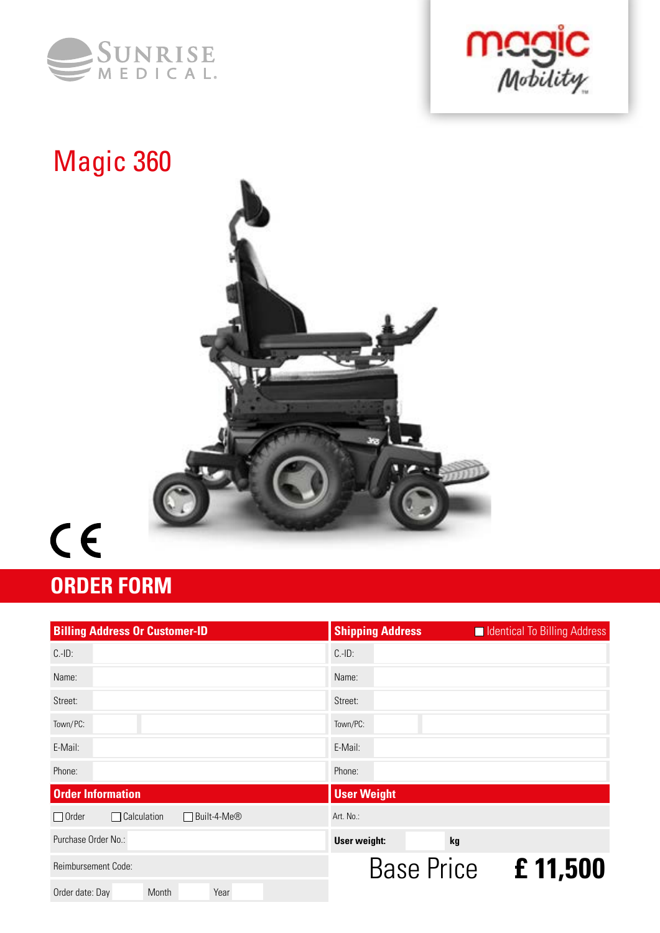





# $C \in$

# **ORDER FORM**

| <b>Billing Address Or Customer-ID</b>               | <b>Shipping Address</b><br>In Identical To Billing Address |  |  |  |  |  |  |  |
|-----------------------------------------------------|------------------------------------------------------------|--|--|--|--|--|--|--|
| $C.-ID:$                                            | $C.-ID:$                                                   |  |  |  |  |  |  |  |
| Name:                                               | Name:                                                      |  |  |  |  |  |  |  |
| Street:                                             | Street:                                                    |  |  |  |  |  |  |  |
| Town/PC:                                            | Town/PC:                                                   |  |  |  |  |  |  |  |
| E-Mail:                                             | E-Mail:                                                    |  |  |  |  |  |  |  |
| Phone:                                              | Phone:                                                     |  |  |  |  |  |  |  |
| <b>Order Information</b>                            | <b>User Weight</b>                                         |  |  |  |  |  |  |  |
| $\Box$ Calculation<br>$\Box$ Order<br>□ Built-4-Me® | Art. No.:                                                  |  |  |  |  |  |  |  |
| Purchase Order No.:                                 | User weight:<br>kg                                         |  |  |  |  |  |  |  |
| Reimbursement Code:                                 | Base Price £11,500                                         |  |  |  |  |  |  |  |
| Year<br>Month<br>Order date: Day                    |                                                            |  |  |  |  |  |  |  |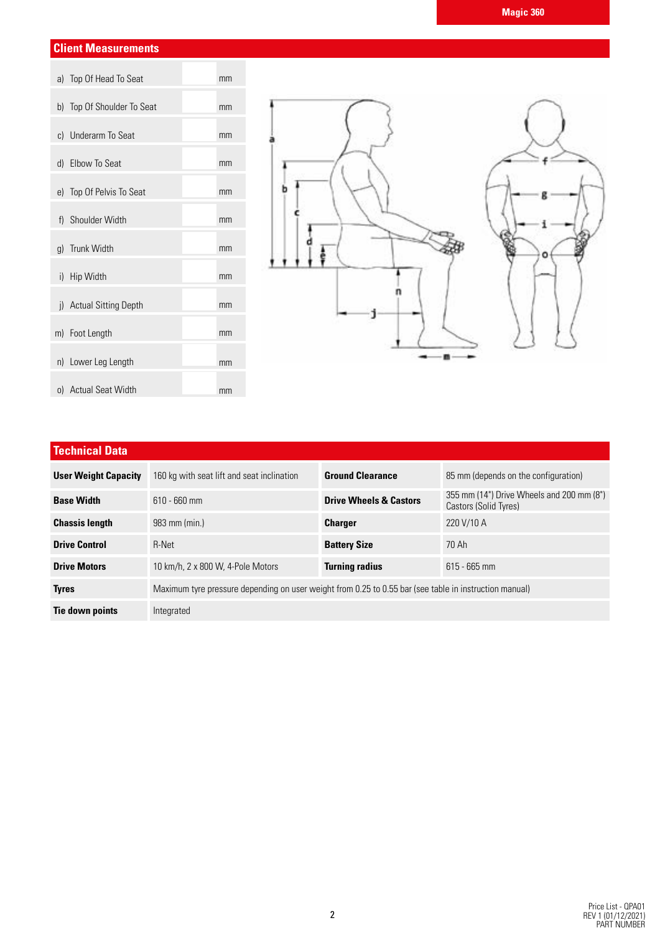### **Client Measurements**

| a) Top Of Head To Seat     | mm |
|----------------------------|----|
| b) Top Of Shoulder To Seat | mm |
| c) Underarm To Seat        | mm |
| d) Elbow To Seat           | mm |
| e) Top Of Pelvis To Seat   | mm |
| f) Shoulder Width          | mm |
| g) Trunk Width             | mm |
| i) Hip Width               | mm |
| i) Actual Sitting Depth    | mm |
| m) Foot Length             | mm |
| n) Lower Leg Length        | mm |
| o) Actual Seat Width       | mm |



## **Technical Data**

| <b>User Weight Capacity</b> | 160 kg with seat lift and seat inclination                                                             | <b>Ground Clearance</b>           | 85 mm (depends on the configuration)                               |
|-----------------------------|--------------------------------------------------------------------------------------------------------|-----------------------------------|--------------------------------------------------------------------|
| <b>Base Width</b>           | $610 - 660$ mm                                                                                         | <b>Drive Wheels &amp; Castors</b> | 355 mm (14") Drive Wheels and 200 mm (8")<br>Castors (Solid Tyres) |
| <b>Chassis length</b>       | 983 mm (min.)                                                                                          | <b>Charger</b>                    | 220 V/10 A                                                         |
| <b>Drive Control</b>        | R-Net                                                                                                  | <b>Battery Size</b>               | 70 Ah                                                              |
| <b>Drive Motors</b>         | 10 km/h, 2 x 800 W, 4-Pole Motors                                                                      | <b>Turning radius</b>             | $615 - 665$ mm                                                     |
| <b>Tyres</b>                | Maximum tyre pressure depending on user weight from 0.25 to 0.55 bar (see table in instruction manual) |                                   |                                                                    |
| Tie down points             | Integrated                                                                                             |                                   |                                                                    |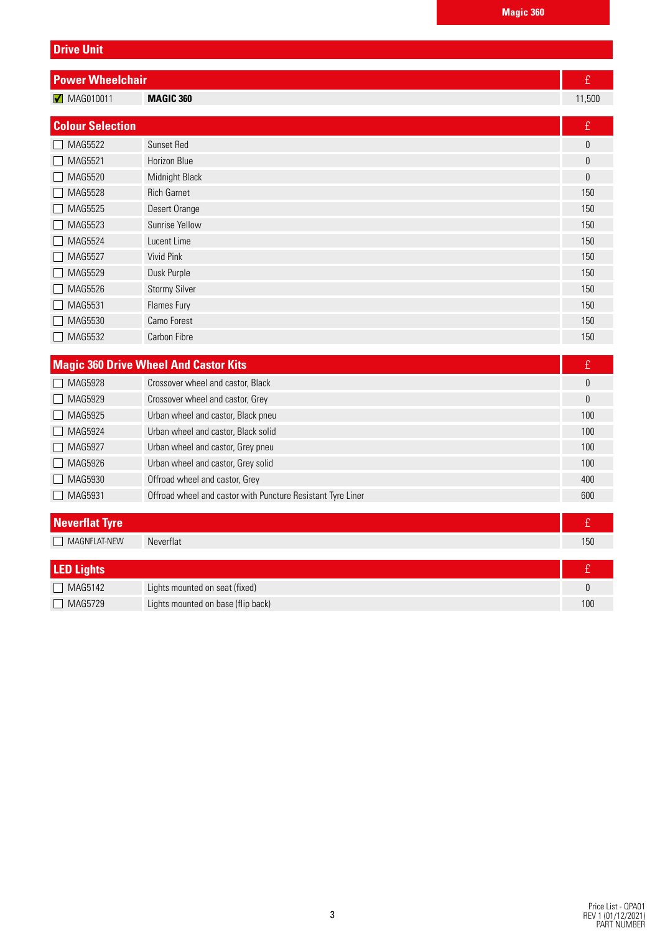| <b>Power Wheelchair</b>        |                                              | £      |
|--------------------------------|----------------------------------------------|--------|
| $\sqrt{\phantom{0}}$ MAG010011 | <b>MAGIC 360</b>                             | 11,500 |
|                                |                                              |        |
| <b>Colour Selection</b>        |                                              | £      |
| MAG5522                        | <b>Sunset Red</b>                            | 0      |
| MAG5521                        | <b>Horizon Blue</b>                          | 0      |
| MAG5520                        | Midnight Black                               | 0      |
| <b>MAG5528</b>                 | <b>Rich Garnet</b>                           | 150    |
| MAG5525                        | Desert Orange                                | 150    |
| MAG5523                        | Sunrise Yellow                               | 150    |
| <b>MAG5524</b>                 | Lucent Lime                                  | 150    |
| MAG5527                        | <b>Vivid Pink</b>                            | 150    |
| MAG5529                        | Dusk Purple                                  | 150    |
| MAG5526                        | <b>Stormy Silver</b>                         | 150    |
| MAG5531                        | Flames Fury                                  | 150    |
| MAG5530                        | Camo Forest                                  | 150    |
| MAG5532                        | Carbon Fibre                                 | 150    |
|                                |                                              |        |
|                                | <b>Magic 360 Drive Wheel And Castor Kits</b> | £      |
| <b>MAG5928</b>                 | Crossover wheel and castor, Black            | 0      |
| MAG5929                        | Crossover wheel and castor, Grey             | 0      |
| MAG5925                        | Urban wheel and castor, Black pneu           | 100    |
| MAG5924                        | Urban wheel and castor, Black solid          | 100    |

| Neverflat Tyre            |                                                             |     |
|---------------------------|-------------------------------------------------------------|-----|
| MAG5931                   | Offroad wheel and castor with Puncture Resistant Tyre Liner | 600 |
| MAG5930                   | Offroad wheel and castor, Grey                              | 400 |
| MAG5926<br>$\blacksquare$ | Urban wheel and castor, Grey solid                          | 100 |
| MAG5927                   | Urban wheel and castor, Grey pneu                           | 100 |

| MAGNFLAT-NEW      | Neverflat                          | 150 |
|-------------------|------------------------------------|-----|
|                   |                                    |     |
| <b>LED Lights</b> |                                    |     |
| $\Box$ MAG5142    | Lights mounted on seat (fixed)     |     |
| MAG5729           | Lights mounted on base (flip back) | 100 |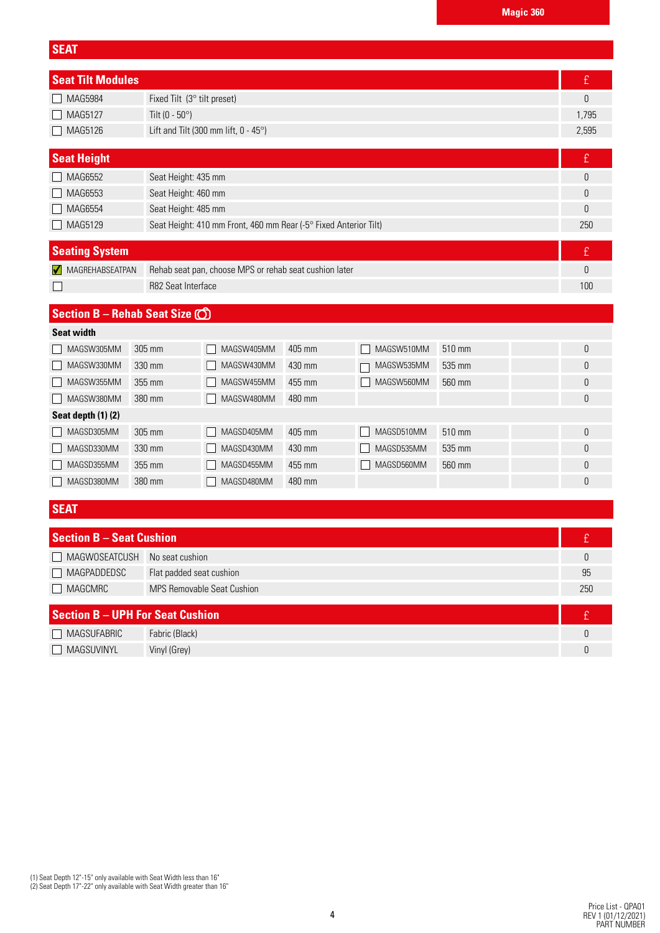| <b>SEAT</b>                             |                          |                                                                  |        |            |        |              |
|-----------------------------------------|--------------------------|------------------------------------------------------------------|--------|------------|--------|--------------|
| <b>Seat Tilt Modules</b>                |                          |                                                                  |        |            |        | £            |
| <b>MAG5984</b>                          |                          | Fixed Tilt (3° tilt preset)                                      |        |            |        | 0            |
| MAG5127                                 | Tilt (0 - $50^{\circ}$ ) |                                                                  |        |            |        | 1,795        |
| MAG5126                                 |                          | Lift and Tilt (300 mm lift, 0 - 45°)                             |        |            |        | 2,595        |
| <b>Seat Height</b>                      |                          |                                                                  |        |            |        | £            |
| MAG6552                                 |                          | Seat Height: 435 mm                                              |        |            |        | 0            |
| MAG6553                                 |                          | Seat Height: 460 mm                                              |        |            |        | 0            |
| MAG6554                                 |                          | Seat Height: 485 mm                                              |        |            |        | 0            |
| MAG5129                                 |                          | Seat Height: 410 mm Front, 460 mm Rear (-5° Fixed Anterior Tilt) |        |            |        | 250          |
| <b>Seating System</b>                   |                          |                                                                  |        |            |        | £            |
| MAGREHABSEATPAN                         |                          | Rehab seat pan, choose MPS or rehab seat cushion later           |        |            |        | 0            |
|                                         | R82 Seat Interface       |                                                                  |        |            |        | 100          |
| Section B - Rehab Seat Size (O)         |                          |                                                                  |        |            |        |              |
| <b>Seat width</b>                       |                          |                                                                  |        |            |        |              |
| MAGSW305MM                              | 305 mm                   | MAGSW405MM                                                       | 405 mm | MAGSW510MM | 510 mm | 0            |
| MAGSW330MM                              | 330 mm                   | MAGSW430MM                                                       | 430 mm | MAGSW535MM | 535 mm | 0            |
| MAGSW355MM                              | 355 mm                   | MAGSW455MM                                                       | 455 mm | MAGSW560MM | 560 mm | 0            |
| MAGSW380MM                              | 380 mm                   | MAGSW480MM                                                       | 480 mm |            |        | 0            |
| Seat depth (1)(2)                       |                          |                                                                  |        |            |        |              |
| MAGSD305MM                              | 305 mm                   | MAGSD405MM                                                       | 405 mm | MAGSD510MM | 510 mm | 0            |
| MAGSD330MM                              | 330 mm                   | MAGSD430MM                                                       | 430 mm | MAGSD535MM | 535 mm | 0            |
| MAGSD355MM                              | 355 mm                   | MAGSD455MM                                                       | 455 mm | MAGSD560MM | 560 mm | 0            |
| MAGSD380MM                              | 380 mm                   | MAGSD480MM                                                       | 480 mm |            |        | 0            |
| <b>SEAT</b>                             |                          |                                                                  |        |            |        |              |
| <b>Section B - Seat Cushion</b>         |                          |                                                                  |        |            |        | £            |
| MAGWOSEATCUSH                           | No seat cushion          |                                                                  |        |            |        | $\mathsf{0}$ |
| MAGPADDEDSC<br>Flat padded seat cushion |                          |                                                                  |        |            |        | 95           |
| MAGCMRC                                 |                          | <b>MPS Removable Seat Cushion</b>                                |        |            |        | 250          |
| <b>Section B - UPH For Seat Cushion</b> |                          |                                                                  |        |            |        | f            |

| $\blacksquare$    |                |  |
|-------------------|----------------|--|
| MAGSUFABRIC       | Fabric (Black) |  |
| <b>MAGSUVINYL</b> | Vinyl (Grey)   |  |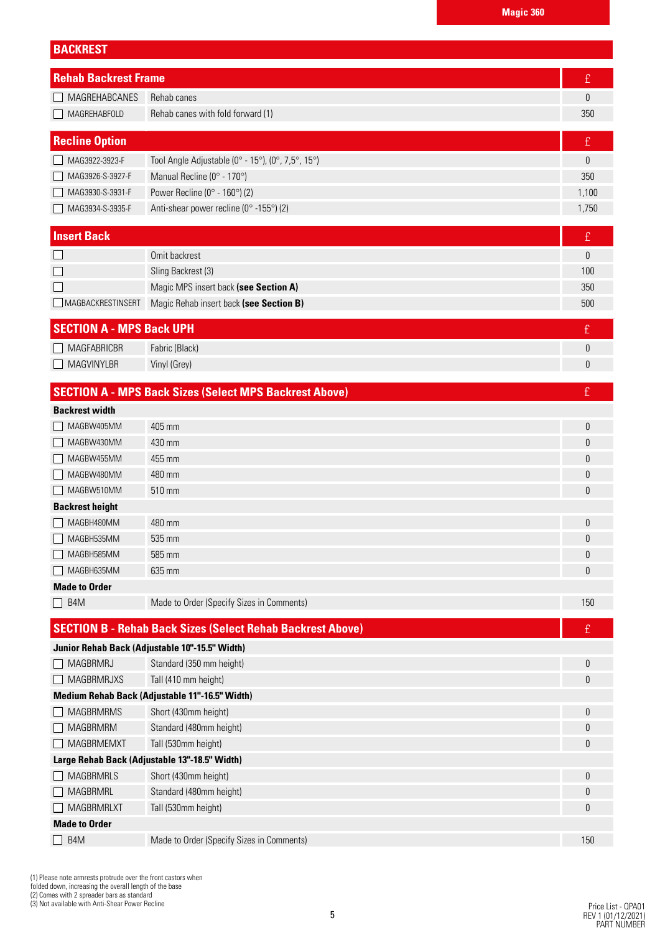| <b>BACKREST</b>                 |                                                                   |                  |
|---------------------------------|-------------------------------------------------------------------|------------------|
| <b>Rehab Backrest Frame</b>     |                                                                   | £                |
| MAGREHABCANES                   | Rehab canes                                                       | 0                |
| MAGREHABFOLD                    | Rehab canes with fold forward (1)                                 | 350              |
|                                 |                                                                   |                  |
| <b>Recline Option</b>           |                                                                   | £                |
| MAG3922-3923-F                  | Tool Angle Adjustable (0° - 15°), (0°, 7,5°, 15°)                 | 0                |
| MAG3926-S-3927-F                | Manual Recline (0° - 170°)                                        | 350              |
| MAG3930-S-3931-F                | Power Recline ( $0^\circ$ - 160 $^\circ$ ) (2)                    | 1,100            |
| MAG3934-S-3935-F                | Anti-shear power recline (0° -155°) (2)                           | 1,750            |
| <b>Insert Back</b>              |                                                                   | $\pounds$        |
|                                 | Omit backrest                                                     | $\boldsymbol{0}$ |
|                                 | Sling Backrest (3)                                                | 100              |
|                                 | Magic MPS insert back (see Section A)                             | 350              |
| MAGBACKRESTINSERT               | Magic Rehab insert back (see Section B)                           | 500              |
| <b>SECTION A - MPS Back UPH</b> |                                                                   | £                |
| <b>MAGFABRICBR</b>              | Fabric (Black)                                                    | $\boldsymbol{0}$ |
| MAGVINYLBR                      | Vinyl (Grey)                                                      | 0                |
|                                 |                                                                   |                  |
|                                 | <b>SECTION A - MPS Back Sizes (Select MPS Backrest Above)</b>     | £                |
| <b>Backrest width</b>           |                                                                   |                  |
| MAGBW405MM                      | 405 mm                                                            | 0                |
| MAGBW430MM                      | 430 mm                                                            | 0                |
| MAGBW455MM                      | 455 mm                                                            | 0                |
| MAGBW480MM                      | 480 mm                                                            | 0                |
| MAGBW510MM                      | 510 mm                                                            | 0                |
| <b>Backrest height</b>          |                                                                   |                  |
| MAGBH480MM                      | 480 mm                                                            | 0                |
| $\Box$<br>MAGBH535MM            | 535 mm                                                            | U                |
| MAGBH585MM                      | 585 mm                                                            | 0                |
| MAGBH635MM                      | 635 mm                                                            | 0                |
| <b>Made to Order</b>            |                                                                   |                  |
| $\Box$ B4M                      | Made to Order (Specify Sizes in Comments)                         | 150              |
|                                 | <b>SECTION B - Rehab Back Sizes (Select Rehab Backrest Above)</b> | £                |
|                                 | Junior Rehab Back (Adjustable 10"-15.5" Width)                    |                  |
| MAGBRMRJ                        | Standard (350 mm height)                                          | 0                |
| MAGBRMRJXS                      | Tall (410 mm height)                                              | 0                |
|                                 | Medium Rehab Back (Adjustable 11"-16.5" Width)                    |                  |
| <b>MAGBRMRMS</b>                | Short (430mm height)                                              | 0                |
| <b>MAGBRMRM</b>                 | Standard (480mm height)                                           | 0                |
| MAGBRMEMXT                      | Tall (530mm height)                                               | 0                |
|                                 | Large Rehab Back (Adjustable 13"-18.5" Width)                     |                  |
| MAGBRMRLS                       | Short (430mm height)                                              | 0                |
| <b>MAGBRMRL</b>                 | Standard (480mm height)                                           | 0                |
| <b>MAGBRMRLXT</b>               | Tall (530mm height)                                               | 0                |
| <b>Made to Order</b>            |                                                                   |                  |
| B <sub>4</sub> M                | Made to Order (Specify Sizes in Comments)                         | 150              |

(1) Please note armrests protrude over the front castors when folded down, increasing the overall length of the base (2) Comes with 2 spreader bars as standard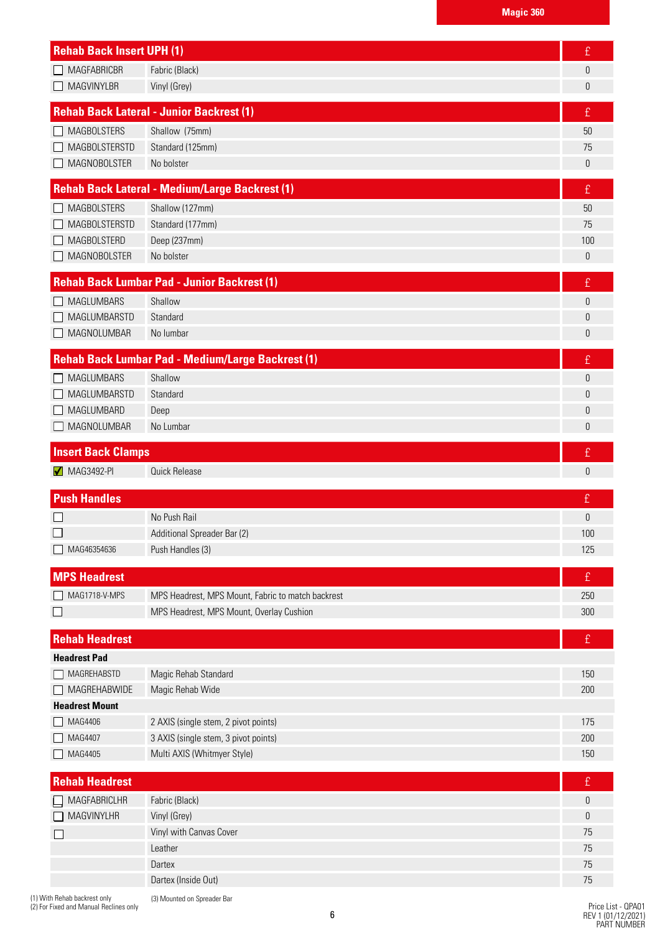| <b>Rehab Back Insert UPH (1)</b> |                                                          | £         |
|----------------------------------|----------------------------------------------------------|-----------|
| <b>MAGFABRICBR</b>               | Fabric (Black)                                           | 0         |
| <b>MAGVINYLBR</b>                | Vinyl (Grey)                                             | 0         |
|                                  | <b>Rehab Back Lateral - Junior Backrest (1)</b>          | £         |
| <b>MAGBOLSTERS</b>               | Shallow (75mm)                                           | 50        |
| <b>MAGBOLSTERSTD</b>             | Standard (125mm)                                         | 75        |
| <b>MAGNOBOLSTER</b>              | No bolster                                               | 0         |
|                                  | <b>Rehab Back Lateral - Medium/Large Backrest (1)</b>    | £         |
| <b>MAGBOLSTERS</b>               | Shallow (127mm)                                          | 50        |
| MAGBOLSTERSTD                    | Standard (177mm)                                         | 75        |
| <b>MAGBOLSTERD</b>               | Deep (237mm)                                             | 100       |
| <b>MAGNOBOLSTER</b>              | No bolster                                               | 0         |
|                                  | <b>Rehab Back Lumbar Pad - Junior Backrest (1)</b>       | £         |
| <b>MAGLUMBARS</b>                | Shallow                                                  | 0         |
| MAGLUMBARSTD                     | Standard                                                 | 0         |
| MAGNOLUMBAR                      | No lumbar                                                | 0         |
|                                  | <b>Rehab Back Lumbar Pad - Medium/Large Backrest (1)</b> | £         |
| <b>MAGLUMBARS</b>                | Shallow                                                  | 0         |
| MAGLUMBARSTD                     | Standard                                                 | 0         |
| MAGLUMBARD                       | Deep                                                     | 0         |
| MAGNOLUMBAR                      | No Lumbar                                                | 0         |
| <b>Insert Back Clamps</b>        |                                                          | £         |
| $\sqrt{\phantom{0}}$ MAG3492-PI  | <b>Quick Release</b>                                     | 0         |
| <b>Push Handles</b>              |                                                          | £         |
|                                  | No Push Rail                                             | 0         |
|                                  | Additional Spreader Bar (2)                              | 100       |
| MAG46354636                      | Push Handles (3)                                         | 125       |
| <b>MPS Headrest</b>              |                                                          | £         |
| MAG1718-V-MPS                    | MPS Headrest, MPS Mount, Fabric to match backrest        | 250       |
|                                  | MPS Headrest, MPS Mount, Overlay Cushion                 | 300       |
| <b>Rehab Headrest</b>            |                                                          | £         |
| <b>Headrest Pad</b>              |                                                          |           |
| MAGREHABSTD                      | Magic Rehab Standard                                     | 150       |
| MAGREHABWIDE                     | Magic Rehab Wide                                         | 200       |
| <b>Headrest Mount</b>            |                                                          |           |
| MAG4406                          | 2 AXIS (single stem, 2 pivot points)                     | 175       |
| MAG4407                          | 3 AXIS (single stem, 3 pivot points)                     | 200       |
| MAG4405                          | Multi AXIS (Whitmyer Style)                              | 150       |
| <b>Rehab Headrest</b>            |                                                          | £         |
| MAGFABRICLHR                     | Fabric (Black)                                           | $\pmb{0}$ |
| MAGVINYLHR                       | Vinyl (Grey)                                             | 0         |
|                                  | Vinyl with Canvas Cover                                  | 75        |
|                                  |                                                          |           |
|                                  | Leather                                                  |           |
|                                  | Dartex<br>Dartex (Inside Out)                            | 75<br>75  |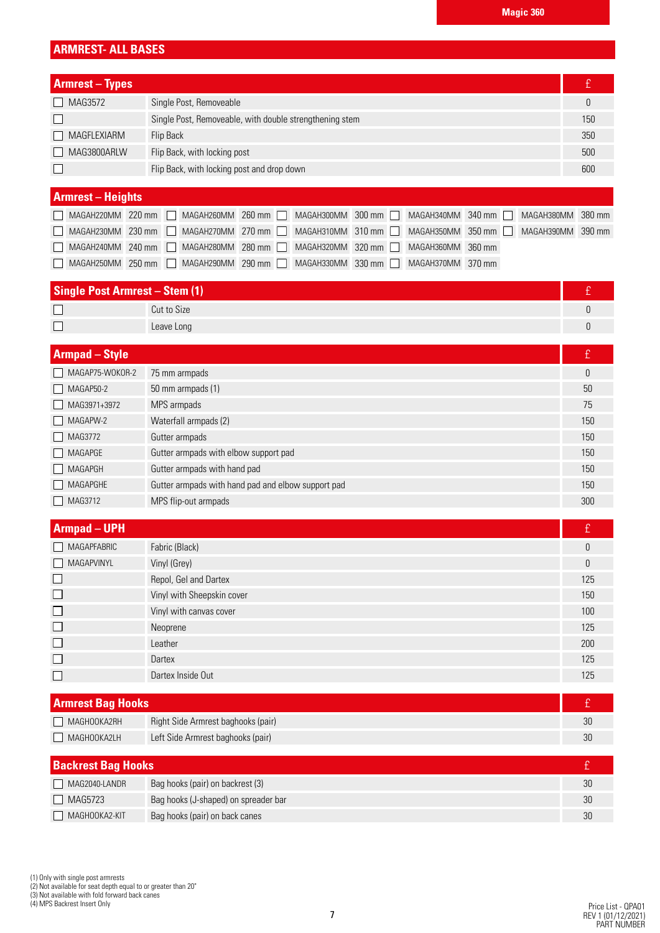# **ARMREST- ALL BASES**

| <b>Armrest – Types</b>   |                                                         |     |
|--------------------------|---------------------------------------------------------|-----|
| $\Box$ MAG3572           | Single Post, Removeable                                 |     |
|                          | Single Post, Removeable, with double strengthening stem | 150 |
| $\Box$ MAGFLEXIARM       | Flip Back                                               | 350 |
| MAG3800ARLW              | Flip Back, with locking post                            | 500 |
|                          | Flip Back, with locking post and drop down              | 600 |
|                          |                                                         |     |
| <b>Armrest - Heights</b> |                                                         |     |

|  | MAGAH220MM 220 mm   MAGAH260MM 260 mm   MAGAH300MM 300 mm   MAGAH340MM 340 mm   MAGAH380MM 380 mm |  |  |  |  |  |
|--|---------------------------------------------------------------------------------------------------|--|--|--|--|--|
|  | MAGAH230MM 230 mm   MAGAH270MM 270 mm   MAGAH310MM 310 mm   MAGAH350MM 350 mm   MAGAH390MM 390 mm |  |  |  |  |  |
|  | MAGAH240MM 240 mm   MAGAH280MM 280 mm   MAGAH320MM 320 mm   MAGAH360MM 360 mm                     |  |  |  |  |  |
|  | MAGAH250MM 250 mm   MAGAH290MM 290 mm   MAGAH330MM 330 mm   MAGAH370MM 370 mm                     |  |  |  |  |  |

| <b>Single Post Armrest - Stem (1)</b> |             |  |
|---------------------------------------|-------------|--|
|                                       | Cut to Size |  |
|                                       | Leave Long  |  |

| <b>Armpad</b> – Style |                                                    | £   |
|-----------------------|----------------------------------------------------|-----|
| MAGAP75-WOKOR-2       | 75 mm armpads                                      | 0   |
| $MAGAP50-2$           | 50 mm armpads (1)                                  | 50  |
| MAG3971+3972          | MPS armpads                                        | 75  |
| $\Box$ MAGAPW-2       | Waterfall armpads (2)                              | 150 |
| $\Box$ MAG3772        | Gutter armpads                                     | 150 |
| $\Box$ MAGAPGE        | Gutter armpads with elbow support pad              | 150 |
| MAGAPGH               | Gutter armpads with hand pad                       | 150 |
| MAGAPGHE              | Gutter armpads with hand pad and elbow support pad | 150 |
| MAG3712               | MPS flip-out armpads                               | 300 |

| <b>Armpad - UPH</b> |                            | Ι£  |
|---------------------|----------------------------|-----|
| MAGAPFABRIC         | Fabric (Black)             | 0   |
| MAGAPVINYL          | Vinyl (Grey)               | 0   |
|                     | Repol, Gel and Dartex      | 125 |
| $\mathbf{L}$        | Vinyl with Sheepskin cover | 150 |
| $\Box$              | Vinyl with canvas cover    | 100 |
| $\Box$              | Neoprene                   | 125 |
| $\Box$              | Leather                    | 200 |
| $\Box$              | Dartex                     | 125 |
|                     | Dartex Inside Out          | 125 |

| <b>Armrest Bag Hooks</b> |                                    |  |
|--------------------------|------------------------------------|--|
| MAGHOOKA2RH              | Right Side Armrest baghooks (pair) |  |
| MAGHOOKA2LH              | Left Side Armrest baghooks (pair)  |  |

| <b>Backrest Bag Hooks</b> |                                      |    |
|---------------------------|--------------------------------------|----|
| MAG2040-LANDR             | Bag hooks (pair) on backrest (3)     |    |
| $\Box$ MAG5723            | Bag hooks (J-shaped) on spreader bar | 30 |
| MAGHOOKA2-KIT             | Bag hooks (pair) on back canes       |    |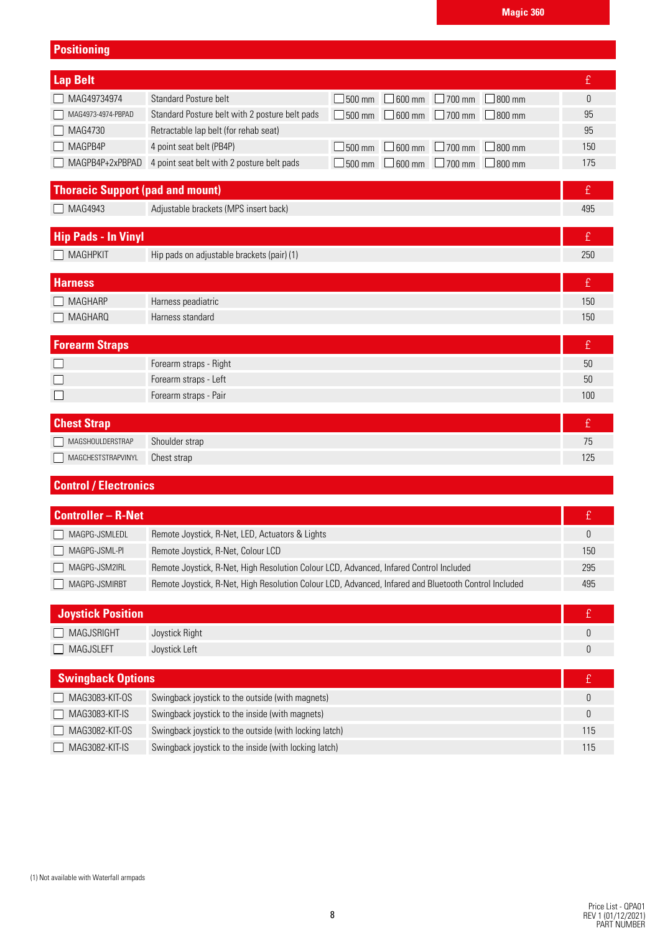## **Positioning**

| <b>Lap Belt</b>                         |                                                                   |  |                                                         |   | £   |
|-----------------------------------------|-------------------------------------------------------------------|--|---------------------------------------------------------|---|-----|
| MAG49734974                             | Standard Posture belt                                             |  | $\Box$ 500 mm $\Box$ 600 mm $\Box$ 700 mm $\Box$ 800 mm |   | 0   |
| MAG4973-4974-PBPAD                      | Standard Posture belt with 2 posture belt pads                    |  | $\Box$ 500 mm $\Box$ 600 mm $\Box$ 700 mm $\Box$ 800 mm |   | 95  |
| MAG4730                                 | Retractable lap belt (for rehab seat)                             |  |                                                         |   | 95  |
| MAGPB4P                                 | 4 point seat belt (PB4P)                                          |  | $\Box$ 500 mm $\Box$ 600 mm $\Box$ 700 mm $\Box$ 800 mm |   | 150 |
|                                         | $\Box$ MAGPB4P+2xPBPAD 4 point seat belt with 2 posture belt pads |  | $\Box$ 500 mm $\Box$ 600 mm $\Box$ 700 mm $\Box$ 800 mm |   | 175 |
|                                         |                                                                   |  |                                                         |   |     |
| <b>Thoracic Support (pad and mount)</b> |                                                                   |  |                                                         | ₽ |     |
| MAG4943                                 | Adjustable brackets (MPS insert back)                             |  |                                                         |   | 495 |

| <b>Hip Pads - In Vinyl</b> |                                            | t   |
|----------------------------|--------------------------------------------|-----|
| $\Box$ MAGHPKIT            | Hip pads on adjustable brackets (pair) (1) | 250 |
|                            |                                            |     |
| <b>Harness</b>             |                                            |     |
| $\Box$ MAGHARP             | Harness peadiatric                         | 150 |
| $\Box$ MAGHARQ             | Harness standard                           | 150 |
|                            |                                            |     |
| <b>Forearm Straps</b>      |                                            | IΩ, |
|                            | Forearm straps - Right                     | 50  |

| <b>Chest Strap</b> |                |  |
|--------------------|----------------|--|
| MAGSHOULDERSTRAP   | Shoulder strap |  |
| MAGCHESTSTRAPVINYL | Chest strap    |  |

Forearm straps - Left 50 Forearm straps - Pair 100

# **Control / Electronics**

 $\Box$  $\Box$ 

| <b>Controller - R-Net</b> |                                                                                                      |     |
|---------------------------|------------------------------------------------------------------------------------------------------|-----|
| MAGPG-JSMLEDL             | Remote Joystick, R-Net, LED, Actuators & Lights                                                      |     |
| MAGPG-JSML-PI             | Remote Joystick, R-Net, Colour LCD                                                                   | 150 |
| MAGPG-JSM2IRL             | Remote Joystick, R-Net, High Resolution Colour LCD, Advanced, Infared Control Included               | 295 |
| MAGPG-JSMIRBT             | Remote Joystick, R-Net, High Resolution Colour LCD, Advanced, Infared and Bluetooth Control Included | 495 |

| <b>Joystick Position</b> |                                                        | ÷   |
|--------------------------|--------------------------------------------------------|-----|
| MAGJSRIGHT               | Joystick Right                                         |     |
| $\Box$ MAGJSLEFT         | Joystick Left                                          |     |
|                          |                                                        |     |
| <b>Swingback Options</b> |                                                        |     |
| MAG3083-KIT-0S           | Swingback joystick to the outside (with magnets)       |     |
| $\Box$ MAG3083-KIT-IS    | Swingback joystick to the inside (with magnets)        | 0   |
| MAG3082-KIT-0S           | Swingback joystick to the outside (with locking latch) | 115 |
| MAG3082-KIT-IS           | Swingback joystick to the inside (with locking latch)  | 115 |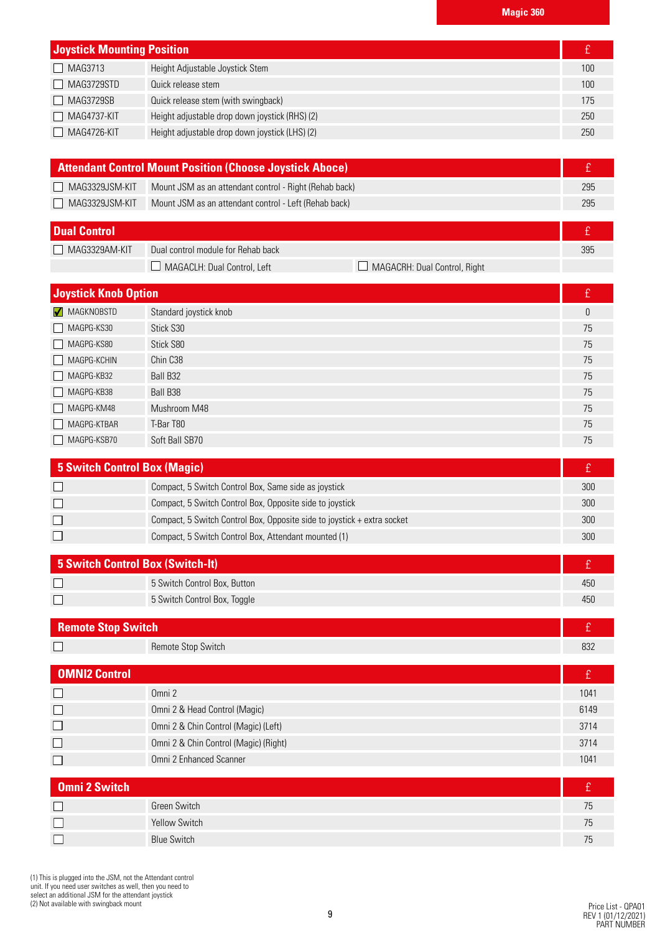| <b>Joystick Mounting Position</b> |                                                |     |
|-----------------------------------|------------------------------------------------|-----|
|                                   |                                                |     |
| $\Box$ MAG3713                    | Height Adjustable Joystick Stem                | 100 |
| $\Box$ MAG3729STD                 | Quick release stem                             | 100 |
| $\Box$ MAG3729SB                  | Quick release stem (with swingback)            | 175 |
| $\Box$ MAG4737-KIT                | Height adjustable drop down joystick (RHS) (2) | 250 |
| MAG4726-KIT<br>$\mathsf{L}$       | Height adjustable drop down joystick (LHS) (2) | 250 |

| <b>Attendant Control Mount Position (Choose Joystick Aboce)</b> |                                                        |     |
|-----------------------------------------------------------------|--------------------------------------------------------|-----|
| MAG3329JSM-KIT                                                  | Mount JSM as an attendant control - Right (Rehab back) | 295 |
| $\Box$ MAG3329JSM-KIT                                           | Mount JSM as an attendant control - Left (Rehab back)  | 295 |
|                                                                 |                                                        |     |

| <b>Dual Control</b> |                                    |                              |  |
|---------------------|------------------------------------|------------------------------|--|
| MAG3329AM-KIT       | Dual control module for Rehab back |                              |  |
|                     | MAGACLH: Dual Control, Left        | MAGACRH: Dual Control, Right |  |

| <b>Joystick Knob Option</b> |                        | £  |
|-----------------------------|------------------------|----|
| MAGKNOBSTD                  | Standard joystick knob | 0  |
| MAGPG-KS30                  | Stick S30              | 75 |
| MAGPG-KS80                  | Stick S80              | 75 |
| $MAGPG-KCHIN$               | Chin C38               | 75 |
| MAGPG-KB32                  | Ball B32               | 75 |
| MAGPG-KB38                  | Ball B38               | 75 |
| MAGPG-KM48                  | Mushroom M48           | 75 |
| MAGPG-KTBAR                 | T-Bar T80              | 75 |
| MAGPG-KSB70                 | Soft Ball SB70         | 75 |

| 5 Switch Control Box (Magic)                         |                                                                         |     |
|------------------------------------------------------|-------------------------------------------------------------------------|-----|
|                                                      | Compact, 5 Switch Control Box, Same side as joystick                    | 300 |
|                                                      | Compact, 5 Switch Control Box, Opposite side to joystick                | 300 |
|                                                      | Compact, 5 Switch Control Box, Opposite side to joystick + extra socket | 300 |
| Compact, 5 Switch Control Box, Attendant mounted (1) |                                                                         | 300 |
|                                                      |                                                                         |     |

| 5 Switch Control Box (Switch-It) |                              |     |
|----------------------------------|------------------------------|-----|
|                                  | 5 Switch Control Box, Button | 450 |
|                                  | 5 Switch Control Box, Toggle | 450 |

| <b>Remote Stop Switch</b> |                    |            |
|---------------------------|--------------------|------------|
|                           | Remote Stop Switch | nnr<br>ےں∪ |

| <b>OMNI2 Control</b> |                                       |      |
|----------------------|---------------------------------------|------|
|                      | Omni 2                                | 1041 |
|                      | Omni 2 & Head Control (Magic)         | 6149 |
|                      | Omni 2 & Chin Control (Magic) (Left)  | 3714 |
|                      | Omni 2 & Chin Control (Magic) (Right) | 3714 |
|                      | Omni 2 Enhanced Scanner               | 1041 |

| <b>Omni 2 Switch</b> |                    |                |
|----------------------|--------------------|----------------|
|                      | Green Switch       | /5             |
|                      | Yellow Switch      |                |
|                      | <b>Blue Switch</b> | $\overline{1}$ |

(1) This is plugged into the JSM, not the Attendant control unit. If you need user switches as well, then you need to select an additional JSM for the attendant joystick (2) Not available with swingback mount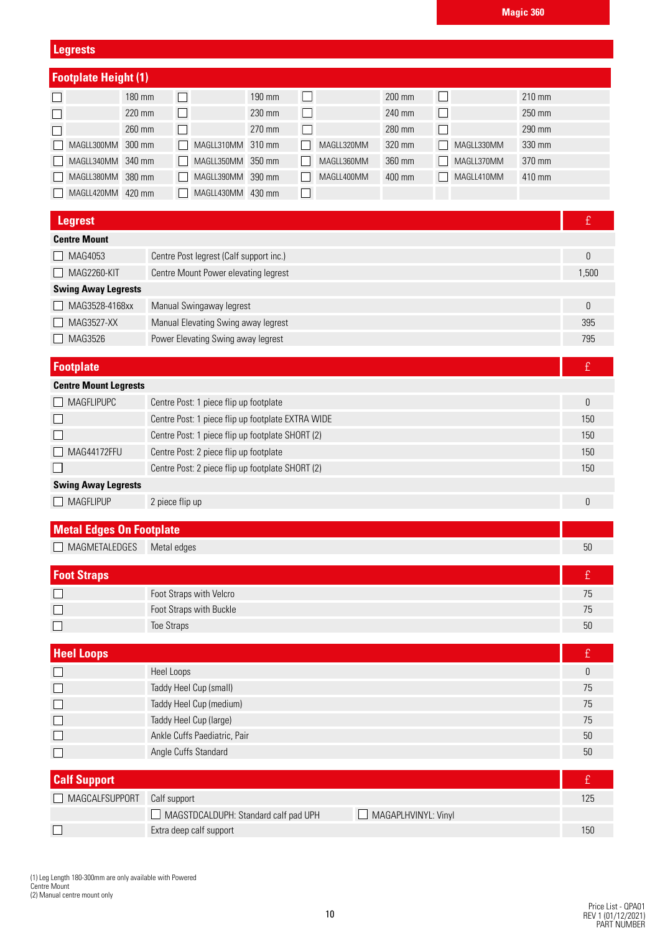**Legrests**

| <b>Footplate Height (1)</b>                                                                               |                                                   |                        |            |                     |            |           |
|-----------------------------------------------------------------------------------------------------------|---------------------------------------------------|------------------------|------------|---------------------|------------|-----------|
| 180 mm                                                                                                    | $\blacksquare$                                    | $\Box$<br>190 mm       |            | 200 mm              | $\Box$     | 210 mm    |
| 220 mm                                                                                                    |                                                   | 230 mm<br>$\Box$       |            | 240 mm              | П          | 250 mm    |
| 260 mm                                                                                                    |                                                   | 270 mm<br>$\mathsf{L}$ |            | 280 mm              | П          | 290 mm    |
| MAGLL300MM<br>300 mm                                                                                      | MAGLL310MM 310 mm                                 |                        | MAGLL320MM | 320 mm              | MAGLL330MM | 330 mm    |
| MAGLL340MM 340 mm                                                                                         | MAGLL350MM 350 mm                                 |                        | MAGLL360MM | 360 mm              | MAGLL370MM | 370 mm    |
| MAGLL380MM 380 mm                                                                                         | MAGLL390MM 390 mm                                 |                        | MAGLL400MM | 400 mm              | MAGLL410MM | 410 mm    |
| MAGLL420MM 420 mm                                                                                         | MAGLL430MM 430 mm                                 | $\Box$                 |            |                     |            |           |
|                                                                                                           |                                                   |                        |            |                     |            |           |
| <b>Legrest</b>                                                                                            |                                                   |                        |            |                     |            | £         |
| <b>Centre Mount</b>                                                                                       |                                                   |                        |            |                     |            |           |
| MAG4053                                                                                                   | Centre Post legrest (Calf support inc.)           |                        |            |                     |            | $\pmb{0}$ |
| <b>MAG2260-KIT</b>                                                                                        | Centre Mount Power elevating legrest              |                        |            |                     |            | 1,500     |
| <b>Swing Away Legrests</b>                                                                                |                                                   |                        |            |                     |            |           |
| MAG3528-4168xx                                                                                            | Manual Swingaway legrest                          |                        |            |                     |            | 0         |
| MAG3527-XX                                                                                                | Manual Elevating Swing away legrest               |                        |            |                     |            | 395       |
| MAG3526                                                                                                   | Power Elevating Swing away legrest                |                        |            |                     |            | 795       |
| <b>Footplate</b>                                                                                          |                                                   |                        |            |                     |            | £         |
| <b>Centre Mount Legrests</b>                                                                              |                                                   |                        |            |                     |            |           |
| <b>MAGFLIPUPC</b>                                                                                         | Centre Post: 1 piece flip up footplate            |                        |            |                     |            | 0         |
|                                                                                                           | Centre Post: 1 piece flip up footplate EXTRA WIDE |                        |            |                     |            | 150       |
|                                                                                                           |                                                   |                        |            |                     |            | 150       |
| Centre Post: 1 piece flip up footplate SHORT (2)<br>MAG44172FFU<br>Centre Post: 2 piece flip up footplate |                                                   |                        | 150        |                     |            |           |
| Centre Post: 2 piece flip up footplate SHORT (2)                                                          |                                                   |                        | 150        |                     |            |           |
| <b>Swing Away Legrests</b>                                                                                |                                                   |                        |            |                     |            |           |
| <b>MAGFLIPUP</b><br>2 piece flip up                                                                       |                                                   |                        |            | 0                   |            |           |
|                                                                                                           |                                                   |                        |            |                     |            |           |
| <b>Metal Edges On Footplate</b>                                                                           |                                                   |                        |            |                     |            |           |
| MAGMETALEDGES                                                                                             | Metal edges                                       |                        |            |                     |            | 50        |
| <b>Foot Straps</b>                                                                                        |                                                   |                        |            |                     |            | £         |
|                                                                                                           | Foot Straps with Velcro                           |                        |            |                     |            | 75        |
| $\mathsf{L}$                                                                                              | Foot Straps with Buckle                           |                        |            |                     |            | 75        |
|                                                                                                           | <b>Toe Straps</b>                                 |                        |            |                     |            | 50        |
| <b>Heel Loops</b>                                                                                         |                                                   |                        |            |                     |            | £         |
|                                                                                                           | Heel Loops                                        |                        |            |                     |            | 0         |
| Ш                                                                                                         | Taddy Heel Cup (small)                            |                        |            |                     |            | 75        |
| ⊔                                                                                                         | Taddy Heel Cup (medium)                           |                        |            |                     |            | 75        |
| $\Box$                                                                                                    | Taddy Heel Cup (large)                            |                        |            |                     |            | 75        |
| $\Box$                                                                                                    | Ankle Cuffs Paediatric, Pair                      |                        |            |                     |            | 50        |
| О                                                                                                         | Angle Cuffs Standard                              |                        |            |                     |            | 50        |
|                                                                                                           |                                                   |                        |            |                     |            |           |
| <b>Calf Support</b>                                                                                       |                                                   |                        |            |                     |            | £         |
| MAGCALFSUPPORT                                                                                            | Calf support                                      |                        |            |                     |            | 125       |
|                                                                                                           | $\Box$ MAGSTDCALDUPH: Standard calf pad UPH       |                        |            | MAGAPLHVINYL: Vinyl |            |           |
| ப                                                                                                         | Extra deep calf support                           |                        |            |                     |            | 150       |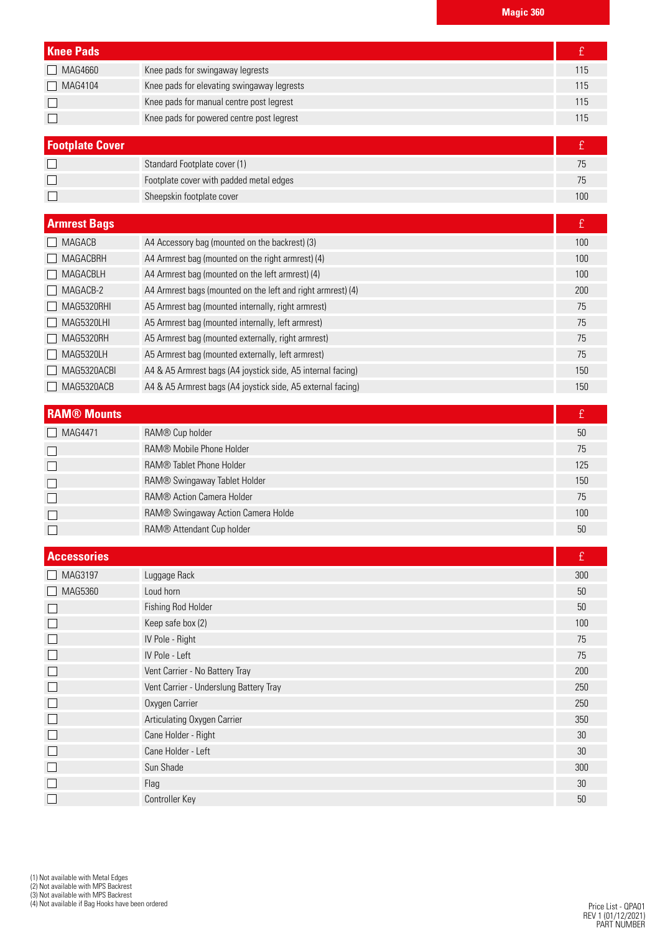| <b>Knee Pads</b>        |                                                             | £          |
|-------------------------|-------------------------------------------------------------|------------|
| MAG4660<br>$\mathsf{L}$ | Knee pads for swingaway legrests                            | 115        |
| MAG4104<br>$\Box$       | Knee pads for elevating swingaway legrests                  | 115        |
| L                       | Knee pads for manual centre post legrest                    | 115        |
| $\Box$                  | Knee pads for powered centre post legrest                   | 115        |
|                         |                                                             |            |
| <b>Footplate Cover</b>  |                                                             | £          |
|                         | Standard Footplate cover (1)                                | 75         |
|                         | Footplate cover with padded metal edges                     | 75         |
| $\Box$                  | Sheepskin footplate cover                                   | 100        |
| <b>Armrest Bags</b>     |                                                             | £          |
| <b>MAGACB</b>           | A4 Accessory bag (mounted on the backrest) (3)              | 100        |
| MAGACBRH                | A4 Armrest bag (mounted on the right armrest) (4)           | 100        |
| MAGACBLH                | A4 Armrest bag (mounted on the left armrest) (4)            | 100        |
| MAGACB-2                | A4 Armrest bags (mounted on the left and right armrest) (4) | 200        |
| MAG5320RHI              | A5 Armrest bag (mounted internally, right armrest)          | 75         |
| MAG5320LHI              | A5 Armrest bag (mounted internally, left armrest)           | 75         |
| MAG5320RH               | A5 Armrest bag (mounted externally, right armrest)          | 75         |
| MAG5320LH               | A5 Armrest bag (mounted externally, left armrest)           | 75         |
| MAG5320ACBI             | A4 & A5 Armrest bags (A4 joystick side, A5 internal facing) | 150        |
| MAG5320ACB              | A4 & A5 Armrest bags (A4 joystick side, A5 external facing) | 150        |
|                         |                                                             |            |
| <b>RAM® Mounts</b>      |                                                             | £          |
|                         |                                                             |            |
| MAG4471                 | RAM® Cup holder                                             | 50         |
| $\Box$                  | RAM® Mobile Phone Holder                                    | 75         |
| $\Box$                  | <b>RAM® Tablet Phone Holder</b>                             | 125        |
|                         | RAM® Swingaway Tablet Holder                                | 150        |
|                         | RAM® Action Camera Holder                                   | 75         |
|                         | RAM® Swingaway Action Camera Holde                          | 100        |
|                         | RAM® Attendant Cup holder                                   | 50         |
|                         |                                                             |            |
| <b>Accessories</b>      |                                                             | £          |
| MAG3197                 | Luggage Rack                                                | 300        |
| MAG5360<br>$\mathsf{L}$ | Loud horn                                                   | 50         |
| $\mathsf{L}$            | Fishing Rod Holder                                          | $50\,$     |
| $\Box$                  | Keep safe box (2)                                           | 100<br>75  |
| $\Box$                  | IV Pole - Right<br>IV Pole - Left                           |            |
| $\Box$                  |                                                             | 75         |
| $\Box$                  | Vent Carrier - No Battery Tray                              | 200<br>250 |
| $\Box$                  | Vent Carrier - Underslung Battery Tray                      | 250        |
| $\Box$                  | Oxygen Carrier                                              |            |
| $\Box$                  | Articulating Oxygen Carrier                                 | 350        |
| $\Box$                  | Cane Holder - Right                                         | 30         |
| $\Box$                  | Cane Holder - Left<br>Sun Shade                             | 30<br>300  |
| $\Box$<br>⊔             | Flag                                                        | $30\,$     |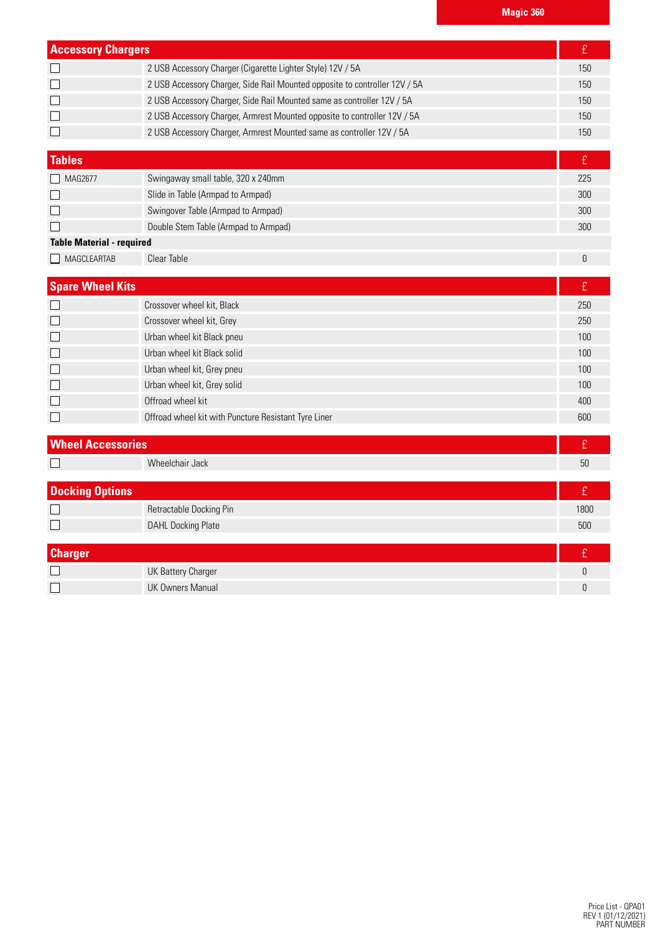| <b>Accessory Chargers</b> |                                                                            |     |
|---------------------------|----------------------------------------------------------------------------|-----|
|                           | 2 USB Accessory Charger (Cigarette Lighter Style) 12V / 5A                 | 150 |
| $\Box$                    | 2 USB Accessory Charger, Side Rail Mounted opposite to controller 12V / 5A | 150 |
| $\Box$                    | 2 USB Accessory Charger, Side Rail Mounted same as controller 12V / 5A     | 150 |
| $\Box$                    | 2 USB Accessory Charger, Armrest Mounted opposite to controller 12V / 5A   | 150 |
| $\Box$                    | 2 USB Accessory Charger, Armrest Mounted same as controller 12V / 5A       | 150 |

| <b>Tables</b>                    |                                      |     |
|----------------------------------|--------------------------------------|-----|
| MAG2677                          | Swingaway small table, 320 x 240mm   | 225 |
|                                  | Slide in Table (Armpad to Armpad)    | 300 |
|                                  | Swingover Table (Armpad to Armpad)   | 300 |
|                                  | Double Stem Table (Armpad to Armpad) | 300 |
| <b>Table Material - required</b> |                                      |     |
| MAGCLEARTAB                      | Clear Table                          |     |

| <b>Spare Wheel Kits</b> |                                                      |     |
|-------------------------|------------------------------------------------------|-----|
|                         | Crossover wheel kit, Black                           | 250 |
| $\Box$                  | Crossover wheel kit, Grey                            | 250 |
| $\Box$                  | Urban wheel kit Black pneu                           | 100 |
|                         | Urban wheel kit Black solid                          | 100 |
| $\Box$                  | Urban wheel kit, Grey pneu                           | 100 |
| $\Box$                  | Urban wheel kit, Grey solid                          | 100 |
|                         | Offroad wheel kit                                    | 400 |
|                         | Offroad wheel kit with Puncture Resistant Tyre Liner | 600 |

| <b>Wheel Accessories</b> |                           |      |
|--------------------------|---------------------------|------|
|                          | Wheelchair Jack           | 50   |
| <b>Docking Options</b>   |                           |      |
| $\Box$                   | Retractable Docking Pin   | 1800 |
|                          | <b>DAHL Docking Plate</b> | 500  |
|                          |                           |      |
| <b>Charger</b>           |                           |      |
|                          | <b>UK Battery Charger</b> |      |
|                          | <b>UK Owners Manual</b>   |      |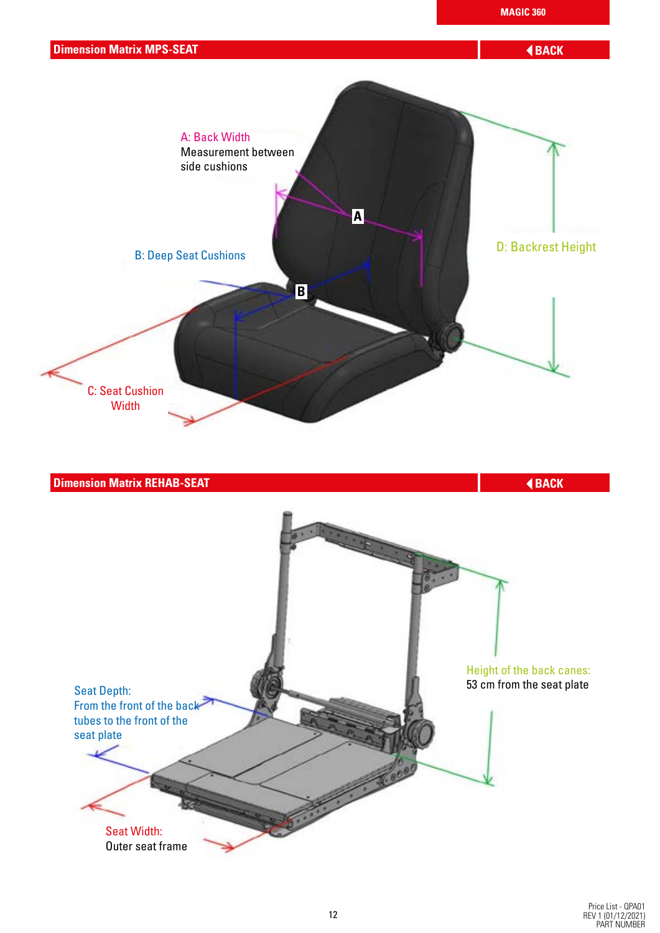

# Seat Depth: 53 cm from the seat plate

From the front of the back tubes to the front of the seat plate

> Seat Width: Outer seat frame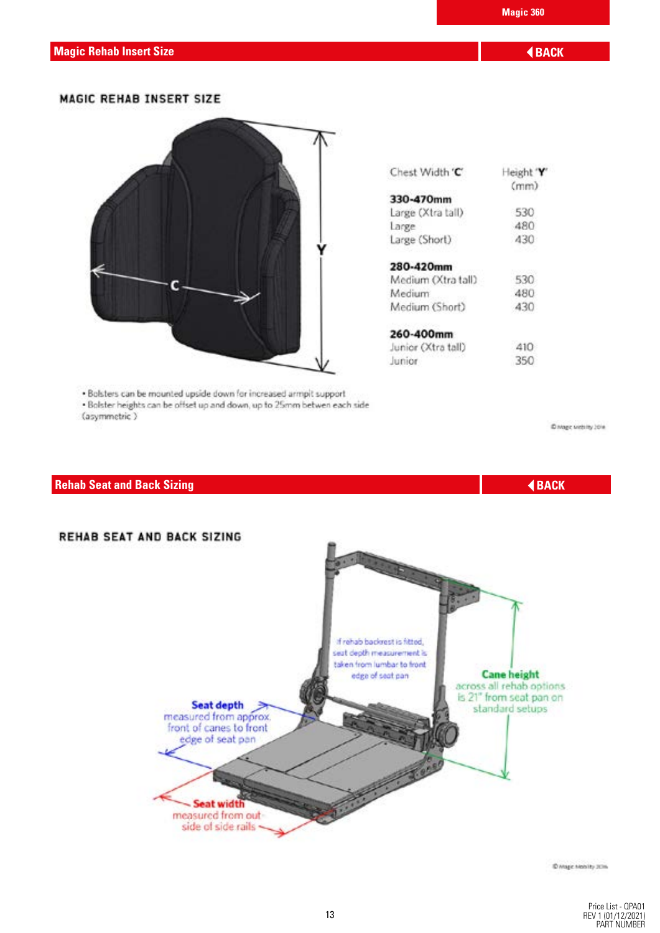#### **MAGIC REHAB INSERT SIZE**



. Bolsters can be mounted upside down for increased armpit support . Bolster heights can be offset up and down, up to 25mm betwen each side (asymmetric)

| Chest Width 'C'    | Height 'Y'<br>(mm) |
|--------------------|--------------------|
| 330-470mm          |                    |
| Large (Xtra tall)  | 530                |
| Large              | 480                |
| Large (Short)      | 430                |
| 280-420mm          |                    |
| Medium (Xtra tall) | 530                |
| Medium             | 480                |
| Medium (Short)     | 430                |
| 260-400mm          |                    |
| Junior (Xtra tall) | 410                |
| Junior.            | 350                |

C Mage withing 2014

### **Rehab Seat and Back Sizing BACK BACK BACK**



© Mage Metality 20%